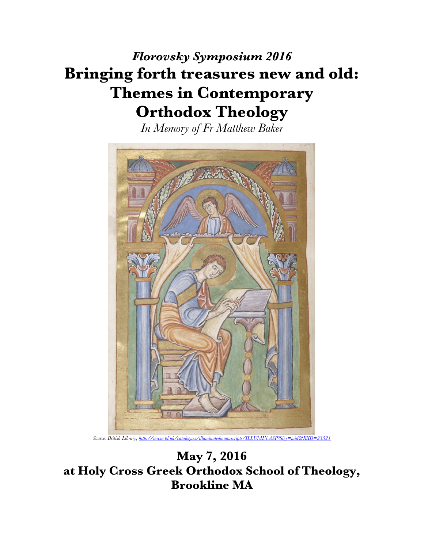## *Florovsky Symposium 2016* **Bringing forth treasures new and old: Themes in Contemporary Orthodox Theology**

*In Memory of Fr Matthew Baker*



*Source: British Library, http://www.bl.uk/catalogues/illuminatedmanuscripts/ILLUMIN.ASP?Size=mid&IllID=23521*

**May 7, 2016 at Holy Cross Greek Orthodox School of Theology, Brookline MA**